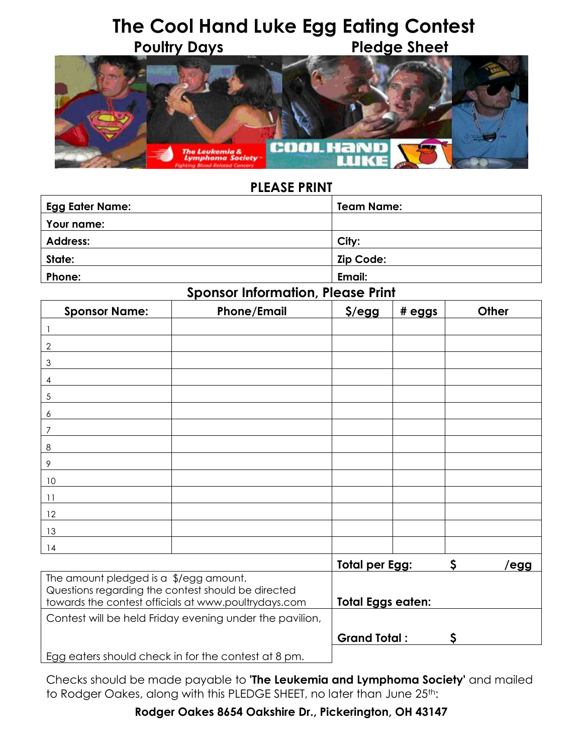# **The Cool Hand Luke Egg Eating Contest Poultry Days Pledge Sheet**



### **PLEASE PRINT**

| <b>Egg Eater Name:</b> | <b>Team Name:</b> |
|------------------------|-------------------|
| Your name:             |                   |
| <b>Address:</b>        | City:             |
| State:                 | Zip Code:         |
| Phone:                 | Email:            |

#### **Sponsor Information, Please Print**

| <b>Sponsor Name:</b>                   | <b>Phone/Email</b>                                                                                         | $$/$ egg          | # eggs                      | Other |             |
|----------------------------------------|------------------------------------------------------------------------------------------------------------|-------------------|-----------------------------|-------|-------------|
|                                        |                                                                                                            |                   |                             |       |             |
| 2                                      |                                                                                                            |                   |                             |       |             |
| 3                                      |                                                                                                            |                   |                             |       |             |
| 4                                      |                                                                                                            |                   |                             |       |             |
| $\sqrt{5}$                             |                                                                                                            |                   |                             |       |             |
| 6                                      |                                                                                                            |                   |                             |       |             |
| 7                                      |                                                                                                            |                   |                             |       |             |
| 8                                      |                                                                                                            |                   |                             |       |             |
| 9                                      |                                                                                                            |                   |                             |       |             |
| 10                                     |                                                                                                            |                   |                             |       |             |
| 11                                     |                                                                                                            |                   |                             |       |             |
| 12                                     |                                                                                                            |                   |                             |       |             |
| 13                                     |                                                                                                            |                   |                             |       |             |
| 14                                     |                                                                                                            |                   |                             |       |             |
|                                        |                                                                                                            |                   | \$<br><b>Total per Egg:</b> |       | <u>/egg</u> |
| The amount pledged is a \$/egg amount. | Questions regarding the contest should be directed<br>towards the contest officials at www.poultrydays.com | Total Eggs eaten: |                             |       |             |
|                                        | Contest will be held Friday evening under the pavilion,                                                    |                   |                             |       |             |
|                                        |                                                                                                            |                   | <b>Grand Total:</b><br>S    |       |             |

Egg eaters should check in for the contest at 8 pm.

Checks should be made payable to **'The Leukemia and Lymphoma Society'** and mailed to Rodger Oakes, along with this PLEDGE SHEET, no later than June 25th:

**Rodger Oakes 8654 Oakshire Dr., Pickerington, OH 43147**